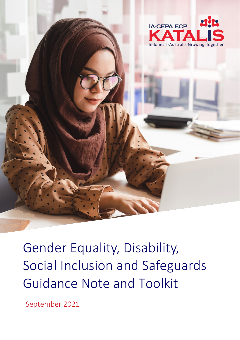

Gender Equality, Disability, Social Inclusion and Safeguards Guidance Note and Toolkit

September 2021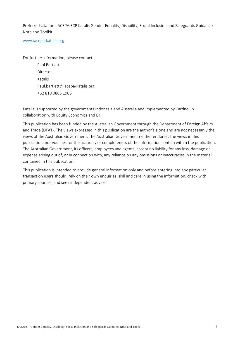Preferred citation: IACEPA ECP Katalis Gender Equality, Disability, Social Inclusion and Safeguards Guidance Note and Toolkit

[www.iacepa-katalis.org](about:blank)

For further information, please contact:

Paul Bartlett Director Katalis Paul.bartlett@iacepa-katalis.org +62 819 0865 1905

Katalis is supported by the governments Indonesia and Australia and implemented by Cardno, in collaboration with Equity Economics and EY.

This publication has been funded by the Australian Government through the Department of Foreign Affairs and Trade (DFAT). The views expressed in this publication are the author's alone and are not necessarily the views of the Australian Government. The Australian Government neither endorses the views in this publication, nor vouches for the accuracy or completeness of the information contain within the publication. The Australian Government, its officers, employees and agents, accept no liability for any loss, damage or expense arising out of, or in connection with, any reliance on any omissions or inaccuracies in the material contained in this publication.

This publication is intended to provide general information only and before entering into any particular transaction users should: rely on their own enquiries, skill and care in using the information; check with primary sources; and seek independent advice.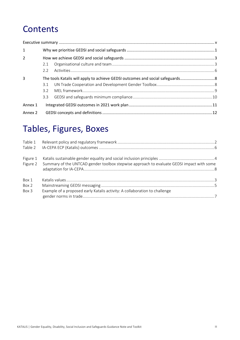## **Contents**

| $\mathbf{1}$   |               |  |
|----------------|---------------|--|
| $\overline{2}$ |               |  |
|                | 2.1           |  |
|                | $2.2^{\circ}$ |  |
| 3              |               |  |
|                | 3.1           |  |
|                | 32            |  |
|                | 3.3           |  |
| Annex 1        |               |  |
| Annex 2        |               |  |

## Tables, Figures, Boxes

| Table 1  |                                                                                                    |
|----------|----------------------------------------------------------------------------------------------------|
|          |                                                                                                    |
| Figure 1 |                                                                                                    |
|          | Figure 2 Summary of the UNTCAD gender toolbox stepwise approach to evaluate GEDSI impact with some |
|          |                                                                                                    |
| Box 1    |                                                                                                    |
| Box 2    |                                                                                                    |
| Box 3    | Example of a proposed early Katalis activity: A collaboration to challenge                         |
|          |                                                                                                    |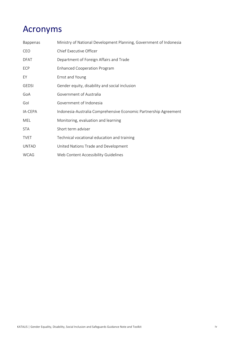## Acronyms

| Bappenas     | Ministry of National Development Planning, Government of Indonesia |
|--------------|--------------------------------------------------------------------|
| CEO          | Chief Executive Officer                                            |
| <b>DFAT</b>  | Department of Foreign Affairs and Trade                            |
| ECP          | <b>Enhanced Cooperation Program</b>                                |
| EY           | Ernst and Young                                                    |
| <b>GEDSI</b> | Gender equity, disability and social inclusion                     |
| GoA          | Government of Australia                                            |
| Gol          | Government of Indonesia                                            |
| IA-CEPA      | Indonesia-Australia Comprehensive Economic Partnership Agreement   |
| MEL          | Monitoring, evaluation and learning                                |
| <b>STA</b>   | Short term adviser                                                 |
| <b>TVET</b>  | Technical vocational education and training                        |
| <b>UNTAD</b> | United Nations Trade and Development                               |
| <b>WCAG</b>  | Web Content Accessibility Guidelines                               |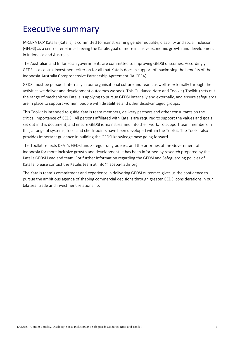## <span id="page-4-0"></span>Executive summary

IA-CEPA ECP Katalis (Katalis) is committed to mainstreaming gender equality, disability and social inclusion (GEDSI) as a central tenet in achieving the Katalis goal of more inclusive economic growth and development in Indonesia and Australia.

The Australian and Indonesian governments are committed to improving GEDSI outcomes. Accordingly, GEDSI is a central investment criterion for all that Katalis does in support of maximising the benefits of the Indonesia-Australia Comprehensive Partnership Agreement (IA-CEPA).

GEDSI must be pursued internally in our organisational culture and team, as well as externally through the activities we deliver and development outcomes we seek. This Guidance Note and Toolkit ('Toolkit') sets out the range of mechanisms Katalis is applying to pursue GEDSI internally and externally, and ensure safeguards are in place to support women, people with disabilities and other disadvantaged groups.

This Toolkit is intended to guide Katalis team members, delivery partners and other consultants on the critical importance of GEDSI. All persons affiliated with Katalis are required to support the values and goals set out in this document, and ensure GEDSI is mainstreamed into their work. To support team members in this, a range of systems, tools and check-points have been developed within the Toolkit. The Toolkit also provides important guidance in building the GEDSI knowledge base going forward.

The Toolkit reflects DFAT's GEDSI and Safeguarding policies and the priorities of the Government of Indonesia for more inclusive growth and development. It has been informed by research prepared by the Katalis GEDSI Lead and team. For further information regarding the GEDSI and Safeguarding policies of Katalis, please contact the Katalis team at info@iacepa-katlis.org

The Katalis team's commitment and experience in delivering GEDSI outcomes gives us the confidence to pursue the ambitious agenda of shaping commercial decisions through greater GEDSI considerations in our bilateral trade and investment relationship.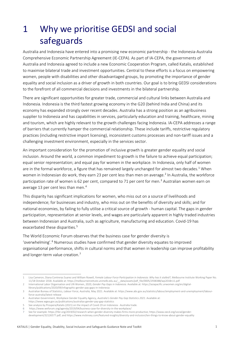# <span id="page-5-0"></span>1 Why we prioritise GEDSI and social safeguards

Australia and Indonesia have entered into a promising new economic partnership - the Indonesia-Australia Comprehensive Economic Partnership Agreement (IE-CEPA). As part of IA-CEPA, the governments of Australia and Indonesia agreed to include a new Economic Cooperation Program, called Katalis, established to maximise bilateral trade and investment opportunities. Central to these efforts is a focus on empowering women, people with disabilities and other disadvantaged groups, by promoting the importance of gender equality and social inclusion as a driver of growth in both countries. Our goal is to bring GEDSI considerations to the forefront of all commercial decisions and investments in the bilateral partnership.

There are significant opportunities for greater trade, commercial and cultural links between Australia and Indonesia. Indonesia is the third fastest growing economy in the G20 (behind India and China) and its economy has expanded strongly over recent decades. Australia has a strong position as an agribusiness supplier to Indonesia and has capabilities in services, particularly education and training, healthcare, mining and tourism, which are highly relevant to the growth challenges facing Indonesia. IA-CEPA addresses a range of barriers that currently hamper the commercial relationship. These include tariffs, restrictive regulatory practices (including restrictive import licensing), inconsistent customs processes and non-tariff issues and a challenging investment environment, especially in the services sector.

An important consideration for the promotion of inclusive growth is greater gender equality and social inclusion. Around the world, a common impediment to growth is the failure to achieve equal participation; equal senior representation; and equal pay for women in the workplace. In Indonesia, only half of women are in the formal workforce, a figure that has remained largely unchanged for almost two decades.<sup>[1](#page-5-1)</sup> When women in Indonesian do work, they earn [2](#page-5-2)3 per cent less than men on average.<sup>2</sup> In Australia, the workforce participation rate of women is 62 per cent, compared to 71 per cent for men.<sup>[3](#page-5-3)</sup> Australian women earn on average 13 per cent less than men.<sup>[4](#page-5-4)</sup>

This disparity has significant implications for women, who miss out on a source of livelihoods and independence; for businesses and industry, who miss out on the benefits of diversity and skills; and for national economies, by failing to fully utilise a critical source of growth - human capital. The gaps in gender participation, representation at senior levels, and wages are particularly apparent in highly traded industries between Indonesian and Australia, such as agriculture, manufacturing and education. Covid-19 has exacerbated these disparities.<sup>[5](#page-5-5)</sup>

The World Economic Forum observes that the business case for gender diversity is 'overwhelming'. [6](#page-5-6) Numerous studies have confirmed that gender diversity equates to improved organisational performance, shifts in cultural norms and that women in leadership can improve profitability and longer-term value creation.<sup>[7](#page-5-7)</sup>

<span id="page-5-1"></span><sup>1</sup> Lisa Cameron, Diana Contreras Suarez and William Rowell, *Female Labour Force Participation in Indonesia: Why has it stalled?*, Melbourne Institute Working Paper No. 11/18 October 2018. Available at[: https://melbourneinstitute.unimelb.edu.au/\\_\\_data/assets/pdf\\_file/0005/2938388/wp2018n11.pdf](about:blank)

<span id="page-5-2"></span><sup>2</sup> International Labor Organisation and UN Women, 2020, *Gender Pay Gaps in Indonesia.* Available at: https://asiapacific.unwomen.org/en/digitallibrary/publications/2020/09/infographic-gender-pay-gaps-in-indonesia

<span id="page-5-3"></span><sup>3</sup> Australian Bureau of Statistics, *Labour Force, Australia,* May 2021. Available at: https://www.abs.gov.au/statistics/labour/employment-and-unemployment/labourforce-australia/latest-release

<span id="page-5-4"></span><sup>4</sup> Australian Government, Workplace Gender Equality Agency, *Australia's Gender Pay Gap Statistics 2021*. Available at:

https://www.wgea.gov.au/publications/australias-gender-pay-gap-statistics 5 See analysis by Prospera/Katalis (2021) on the impact of Covid-19 on Indonesia - Australia trade.

<span id="page-5-6"></span><span id="page-5-5"></span><sup>6</sup> https://www.weforum.org/agenda/2019/04/business-case-for-diversity-in-the-workplace/

<span id="page-5-7"></span><sup>7</sup> See for example[: https://hbr.org/2019/02/research-when-gender-diversity-makes-firms-more-productive; https://www.oecd.org/social/gender](about:blank)[development/32126577.pdf;](about:blank) an[d https://www.mckinsey.com/featured-insights/diversity-and-inclusion/ten-things-to-know-about-gender-equality](about:blank)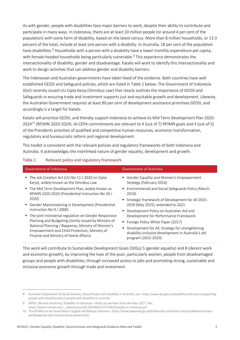As with gender, people with disabilities face major barriers to work, despite their ability to contribute and participate in many ways. In Indonesia, there are at least 10 million people (or around 4 per cent of the population) with some form of disability, based on the latest census. More than 8 million households, or 13.3 percent of the total, include at least one person with a disability. In Australia, 18 per cent of the population have disabilities.<sup>[8](#page-6-1)</sup> Households with a person with a disability have a lower monthly expenditure per capita, with female-headed households being particularly vulnerable. [9](#page-6-2) This experience demonstrates the intersectionality of disability, gender and disadvantage. Katalis will work to identify this intersectionality and work to design activities that can address gender and disability barriers.

The Indonesian and Australian governments have taken heed of the evidence. Both countries have well established GEDSI and Safeguard policies, which are listed in Table 1 below. The Government of Indonesia (GoI) recently issued UU Cipta Kerja (Omnibus Law) that clearly outlines the importance of GEDSI and Safeguards in ensuring trade and investment supports just and equitable growth and development. Likewise, the Australian Government requires at least 80 per cent of development assistance prioritises GEDSI, and accordingly is a target for Katalis.

Katalis will prioritise GEDSI, and thereby support Indonesia to achieve its Mid Term Development Plan 2020- 2024[10](#page-6-3) (RPJMN 2020-2024). IA-CEPA commitments are relevant to 4 (out of 7) RPJMN goals and 4 (out of 5) of the Presidents priorities of qualified and competitive human resources, economic transformation, regulatory and bureaucratic reform and regional development.

This toolkit is consistent with the relevant policies and regulatory frameworks of both Indonesia and Australia. It acknowledges the interlinked nature of gender equality, development and growth.

| Government of Indonesia                                                                                                                                                                                                                                                                                                                                                                                                                                                                                                                                       | <b>Government of Australia</b>                                                                                                                                                                                                                                                                                                                                                                                                                                                                            |
|---------------------------------------------------------------------------------------------------------------------------------------------------------------------------------------------------------------------------------------------------------------------------------------------------------------------------------------------------------------------------------------------------------------------------------------------------------------------------------------------------------------------------------------------------------------|-----------------------------------------------------------------------------------------------------------------------------------------------------------------------------------------------------------------------------------------------------------------------------------------------------------------------------------------------------------------------------------------------------------------------------------------------------------------------------------------------------------|
| The Job Creation Act (UU No 11 / 2020 on Cipta<br>Kerja), widely known as the Omnibus Law<br>The Mid Term Development Plan, widely known as<br>RPJMN 2020-2024 (Presidential Instruction No 18 /<br>2020)<br>Gender Mainstreaming in Development (Presidential<br>Instruction No 9 / 2000)<br>" The joint ministerial regulation on Gender Responsive<br>Planning and Budgeting (Jointly issued by Ministry of<br>National Planning / Bappenas, Ministry of Women's<br>Empowerment and Child Protection, Ministry of<br>Finance and Ministry of Home Affairs) | • Gender Equality and Women's Empowerment<br>Strategy (February 2016)<br><b>Environmental and Social Safeguards Policy (March</b><br>2019)<br>■ Strategic framework of Development for All 2015-<br>2020 (May 2015), extended to 2021<br>• Development Policy on Australian Aid and<br>Development for Performance Framework<br>• Foreign Policy White Paper (2017)<br>Development for All, Strategy for strengthening<br>ш<br>disability-inclusive development in Australia's aid<br>program (2015-2020) |

#### <span id="page-6-0"></span>Table 1 Relevant policy and regulatory framework

This work will contribute to Sustainable Development Goals (SDGs) 5 (gender equality) and 8 (decent work and economic growth), by improving the lives of the poor, particularly women, people from disadvantaged groups and people with disabilities, through increased access to jobs and promoting strong, sustainable and inclusive economic growth through trade and investment.

<span id="page-6-1"></span><sup>8</sup> Australian Department of Social Services, About People with Disability in Australia, see: https://www.dss.gov.au/disability-and-carers/supportingpeople-with-disability/about-people-with-disability-in-australia

<span id="page-6-2"></span><sup>9</sup> AIPEG, Monash University, Disability in Indonesia – What can we learn from the data, 2017. See: https://www.monash.edu/\_\_data/assets/pdf\_file/0003/1107138/Disability-in-Indonesia.pd

<span id="page-6-3"></span><sup>10</sup> The RPJMN can be found here in English and Bahasa Indonesia - https://www.bappenas.go.id/id/data-dan-informasi-utama/publikasi/rencanapembangunan-dan-rencana-kerja-pemerintah/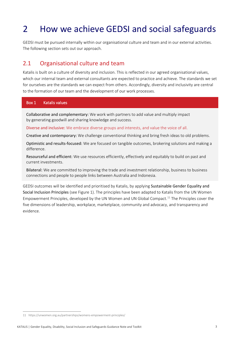# <span id="page-7-0"></span>2 How we achieve GEDSI and social safeguards

GEDSI must be pursued internally within our organisational culture and team and in our external activities. The following section sets out our approach.

### <span id="page-7-1"></span>2.1 Organisational culture and team

Katalis is built on a culture of diversity and inclusion. This is reflected in our agreed organisational values, which our internal team and external consultants are expected to practice and achieve. The standards we set for ourselves are the standards we can expect from others. Accordingly, diversity and inclusivity are central to the formation of our team and the development of our work processes.

#### <span id="page-7-2"></span>Box 1 Katalis values

Collaborative and complementary: We work with partners to add value and multiply impact by generating goodwill and sharing knowledge and success.

Diverse and inclusive: We embrace diverse groups and interests, and value the voice of all.

Creative and contemporary: We challenge conventional thinking and bring fresh ideas to old problems.

Optimistic and results-focused: We are focused on tangible outcomes, brokering solutions and making a difference.

Resourceful and efficient: We use resources efficiently, effectively and equitably to build on past and current investments.

Bilateral: We are committed to improving the trade and investment relationship, business to business connections and people to people links between Australia and Indonesia.

GEDSI outcomes will be identified and prioritised by Katalis, by applying Sustainable Gender Equality and Social Inclusion Principles (see Figure 1). The principles have been adapted to Katalis from the UN Women Empowerment Principles, developed by the UN Women and UN Global Compact.<sup>[11](#page-7-3)</sup> The Principles cover the five dimensions of leadership, workplace, marketplace, community and advocacy, and transparency and evidence.

<span id="page-7-3"></span><sup>11</sup> https://unwomen.org.au/partnerships/womens-empowerment-principles/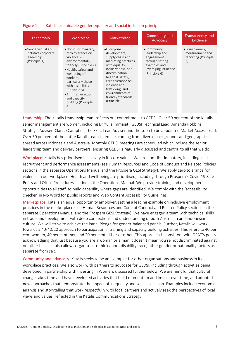#### <span id="page-8-0"></span>Figure 1 Katalis sustainable gender equality and social inclusion principles

| Leadership                                                              | Workplace                                                                                                                                                                                                                                                                                  | Marketplace                                                                                                                                                                                                                                                               | Community and<br>Advocacy                                                                                              | Transparency and<br>Evidence                                              |
|-------------------------------------------------------------------------|--------------------------------------------------------------------------------------------------------------------------------------------------------------------------------------------------------------------------------------------------------------------------------------------|---------------------------------------------------------------------------------------------------------------------------------------------------------------------------------------------------------------------------------------------------------------------------|------------------------------------------------------------------------------------------------------------------------|---------------------------------------------------------------------------|
| •Gender-equal and<br>inclusive corporate<br>leadership<br>(Principle 1) | •Non-discriminatary,<br>zero tolerance on<br>violence &<br>environmentally<br>friendly (Principle 2)<br>·Health, safety and<br>well-being of<br>workers,<br>particularly those<br>with disabilities<br>(Principle 3)<br>• Affirmative action<br>and capacity<br>building (Principle)<br>4) | •Enterprise<br>development,<br>supply chain and<br>marketing practices<br>with equality,<br>inclusiveness, non-<br>discrimination,<br>health & safety,<br>zero tolerance on<br>violence and<br>trafficking, and<br>environmentally<br>friendly standards<br>(Principle 5) | •Community<br>leadership and<br>engagement<br>through setting<br>examples and<br>leveraging influence<br>(Principle 6) | $\bullet$ Transparency,<br>measurement and<br>reporting (Principle)<br>7) |

Leadership: The Katalis Leadership team reflects our commitment to GEDSI. Over 50 per cent of the Katalis senior management are women, including Dr Yulia Immajati, GEDSI Technical Lead, Amanda Robbins, Strategic Adviser, Clarice Campbell, the Skills Lead Adviser and the soon to be appointed Market Access Lead. Over 50 per cent of the entire Katalis team is female, coming from diverse backgrounds and geographical spread across Indonesia and Australia. Monthly GEDSI meetings are scheduled which include the senior leadership team and delivery partners, ensuring GEDSI is regularly discussed and central to all that we do.

Workplace: Katalis has prioritised inclusivity in its core values. We are non-discriminatory, including in all recruitment and performance assessments (see Human Resources and Code of Conduct and Related Policies sections in the separate Operations Manual and the Prospera GESI Strategy). We apply zero tolerance for violence in our workplace. Health and well-being are prioritised, including through Prospera's Covid-19 Safe Policy and Office Procedures section in the Operations Manual. We provide training and development opportunities to all staff, to build capability where gaps are identified. We comply with the 'accessibility checker' in MS Word for public reports and Web Content Accessibility Guidelines.

Marketplace: Katalis an equal opportunity employer, setting a leading example on inclusive employment practices in the marketplace (see Human Resources and Code of Conduct and Related Policy sections in the separate Operations Manual and the Prospera GESI Strategy). We have engaged a team with technical skills in trade and development with deep connections and understanding of both Australian and Indonesian culture. We will strive to achieve the Panel Pledge for gender-balanced panels. Further, Katalis will work towards a 40/40/20 approach to participation in training and capacity building activities. This refers to 40 per cent women, 40 per cent men and 20 per cent either or other. This approach is consistent with DFAT's policy acknowledging that just because you are a woman or a man it doesn't mean you're not discriminated against on other bases. It also allows organisers to think about disability, race, other gender or nationality factors as separate from sex.

Community and advocacy: Katalis seeks to be an exemplar for other organisations and business in its workplace practices. We also work with partners to advocate for GEDSI, including through activities being developed in partnership with Investing in Women, discussed further below. We are mindful that cultural change takes time and have developed activities that build momentum and impact over time, and adopted new approaches that demonstrate the impact of inequality and social exclusion. Examples include economic analysis and storytelling that work respectfully with local partners and actively seek the perspectives of local views and values, reflected in the Katalis Communications Strategy.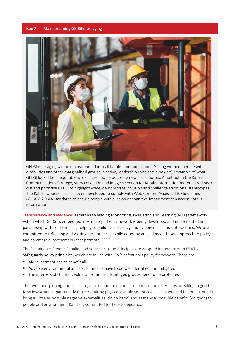#### <span id="page-9-0"></span>Box 2 Mainstreaming GEDSI messaging



GEDSI messaging will be mainstreamed into all Katalis communications. Seeing women, people with disabilities and other marginalised groups in active, leadership roles sets a powerful example of what GEDSI looks like in equitable workplaces and helps create new social norms. As set out in the Katalis's Communications Strategy, story collection and image selection for Katalis information materials will seek out and prioritise GEDSI to highlight voice, demonstrate inclusion and challenge traditional stereotypes. The Katalis website has also been developed to comply with Web Content Accessibility Guidelines (WCAG) 2.0 AA standards to ensure people with a vision or cognitive impairment can access Katalis information.

Transparency and evidence: Katalis has a leading Monitoring, Evaluation and Learning (MEL) framework, within which GEDSI is embedded inextricably. The framework is being developed and implemented in partnership with counterparts, helping to build transparency and evidence in all our interactions. We are committed to reflecting and valuing local nuances, while adopting an evidenced-based approach to policy and commercial partnerships that promote GEDSI.

The Sustainable Gender Equality and Social Inclusion Principles are adopted in tandem with DFAT's Safeguards policy principles, which are in line with GoI's safeguards policy framework. These are:

- Aid investment has to benefit all
- Adverse environmental and social impacts have to be well identified and mitigated
- The interests of children, vulnerable and disadvantaged groups need to be protected.

The two underpinning principles are, at a minimum, do no harm and, to the extent it is possible, do good. New investments, particularly those requiring physical establishments (such as plants and factories), need to bring as little as possible negative externalities (do no harm) and as many as possible benefits (do good) to people and environment. Katalis is committed to these Safeguards.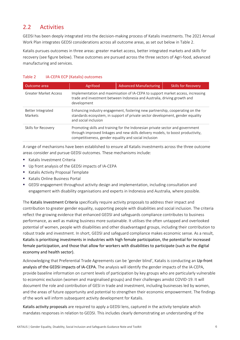### <span id="page-10-0"></span>2.2 Activities

GEDSI has been deeply integrated into the decision-making process of Katalis investments. The 2021 Annual Work Plan integrates GEDSI considerations across all outcome areas, as set out below in Table 2.

Katalis pursues outcomes in three areas: greater market access, better integrated markets and skills for recovery (see figure below). These outcomes are pursued across the three sectors of Agri-food, advanced manufacturing and services.

#### <span id="page-10-1"></span>Table 2 IA-CEPA ECP (Katalis) outcomes

| Outcome area                 | Agrifood                                                                                                                                                                                                                    | <b>Advanced Manufacturing</b>                                                                                                                                  | <b>Skills for Recovery</b> |  |
|------------------------------|-----------------------------------------------------------------------------------------------------------------------------------------------------------------------------------------------------------------------------|----------------------------------------------------------------------------------------------------------------------------------------------------------------|----------------------------|--|
| Greater Market Access        | Implementation and maximisation of IA-CEPA to support market access, increasing<br>trade and investment between Indonesia and Australia, driving growth and<br>development                                                  |                                                                                                                                                                |                            |  |
| Better Integrated<br>Markets | and social inclusion                                                                                                                                                                                                        | Enhancing industry engagement, fostering new partnership, cooperating on the<br>standards ecosystem, in support of private sector development, gender equality |                            |  |
| Skills for Recovery          | Promoting skills and training for the Indonesian private sector and government<br>through improved linkages and new skills delivery models, to boost productivity,<br>competitiveness, gender equality and social inclusion |                                                                                                                                                                |                            |  |

A range of mechanisms have been established to ensure all Katalis investments across the three outcome areas consider and pursue GEDSI outcomes. These mechanisms include:

- Katalis Investment Criteria
- Up front analysis of the GEDSI impacts of IA-CEPA
- **Katalis Activity Proposal Template**
- Katalis Online Business Portal
- GEDSI engagement throughout activity design and implementation, including consultation and engagement with disability organisations and experts in Indonesia and Australia, where possible.

The Katalis Investment Criteria specifically require activity proposals to address their impact and contribution to greater gender equality, supporting people with disabilities and social inclusion. The criteria reflect the growing evidence that enhanced GEDSI and safeguards compliance contributes to business performance, as well as making business more sustainable. It utilises the often untapped and overlooked potential of women, people with disabilities and other disadvantaged groups, including their contribution to robust trade and investment. In short, GEDSI and safeguard compliance makes economic sense. As a result, Katalis is prioritising investments in industries with high female participation, the potential for increased female participation, and those that allow for workers with disabilities to participate (such as the digital economy and health sector).

Acknowledging that Preferential Trade Agreements can be 'gender blind', Katalis is conducting an Up-front analysis of the GEDSI impacts of IA-CEPA. The analysis will identify the gender impacts of the IA-CEPA, provide baseline information on current levels of participation by key groups who are particularly vulnerable to economic exclusion (women and marginalised groups) and their challenges amidst COVID-19. It will document the role and contribution of GESI in trade and investment, including businesses led by women, and the areas of future opportunity and potential to strengthen their economic empowerment. The findings of the work will inform subsequent activity development for Katalis.

Katalis activity proposals are required to apply a GEDSI lens, captured in the activity template which mandates responses in relation to GEDSI. This includes clearly demonstrating an understanding of the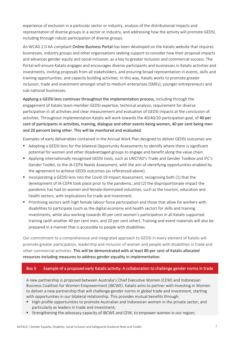experience of exclusion in a particular sector or industry, analysis of the distributional impacts and representation of diverse groups in a sector or industry, and addressing how the activity will promote GEDSI, including through robust participation of diverse groups.

An WCAG 2.0 AA compliant Online Business Portal has been developed on the Katalis website that requires businesses, industry groups and other organisations seeking support to consider how their proposal impacts and advances gender equity and social inclusion, as a key to greater inclusion and commercial success. The Portal will ensure Katalis engages and encourages diverse participants and businesses in Katalis activities and investments, inviting proposals from all stakeholders, and ensuring broad representation in events, skills and training opportunities, and capacity building activities. In this way, Katalis works to promote greater inclusion, trade and investment amongst small to medium enterprises (SMEs), younger entrepreneurs and sub-national businesses.

Applying a GEDSI lens continues throughout the implementation process, including through the engagement of Katalis team member GEDSI expertise, technical analysis, requirement for diverse participation in all activities and clear measurement and evaluation of GEDSI impacts at the conclusion of activities. Throughout implementation Katalis will work towards the 40/40/20 participation goal, of 40 per cent of participants in activities, training, dialogue and other events being women, 40 per cent being men and 20 percent being other. This will be monitored and evaluated.

Examples of early deliverables contained in the Annual Work Plan designed to deliver GEDSI outcomes are:

- Adopting a GEDSI lens for the bilateral Opportunity Assessments to identify where there is significant potential for women and other disadvantaged groups to engage and benefit along the value chain.
- Applying internationally recognised GEDSI tools, such as UNCTAD's Trade and Gender Toolbox and IFC's Gender Toolkit, to the IA-CEPA Needs Assessment, with the aim of identifying opportunities enabled by the agreement to achieve GEDSI outcomes (as referenced above).
- **Incorporating a GEDSI lens into the Covid-19 Impact Assessment, recognising both (1) that the** development of IA-CEPA took place prior to the pandemic; and (2) the disproportionate impact the pandemic has had on women and female-dominated industries, such as the tourism, education and health sectors, with implications for trade and investment.
- **Prioritising sectors with high female labour force participation and those that allow for workers with** disabilities to participate (such as the digital economy and health sector) for skills and training investments, while also working towards 40 per cent women's participation in all Katalis supported training (with another 40 per cent men, and 20 per cent other). Training and event materials will also be prepared in a manner that is accessible to people with disabilities.

Our commitment to a comprehensive and integrated approach to GEDSI in every element of Katalis will promote greater participation, leadership and inclusion of women and people with disabilities in trade and other commercial activities. This will be demonstrated with at least 80 per cent of Katalis allocated resources including measures to address gender equality in implementation.

#### <span id="page-11-0"></span>Box 3 Example of a proposed early Katalis activity: A collaboration to challenge gender norms in trade

A new partnership is proposed between Australia's Chief Executive Women (CEW) and Indonesian Business Coalition for Women Empowerment (IBCWE). Katalis aims to partner with Investing in Women to deliver a new partnership that will challenge gender norms in global trade and investment, starting with opportunities in our bilateral relationship. This provides mutual benefits through:

- High-profile opportunities to promote Australian and Indonesian women in the private sector, and particularly as leaders in trade and investment;
- **Strengthening the advocacy capacity of IBCWE and CEW, to empower women in our region;**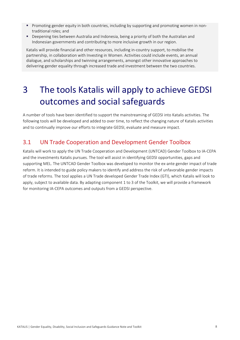- **Promoting gender equity in both countries, including by supporting and promoting women in non**traditional roles; and
- Deepening ties between Australia and Indonesia, being a priority of both the Australian and Indonesian governments and contributing to more inclusive growth in our region.

Katalis will provide financial and other resources, including in-country support, to mobilise the partnership, in collaboration with Investing in Women. Activities could include events, an annual dialogue, and scholarships and twinning arrangements, amongst other innovative approaches to delivering gender equality through increased trade and investment between the two countries.

## <span id="page-12-0"></span>3 The tools Katalis will apply to achieve GEDSI outcomes and social safeguards

A number of tools have been identified to support the mainstreaming of GEDSI into Katalis activities. The following tools will be developed and added to over time, to reflect the changing nature of Katalis activities and to continually improve our efforts to integrate GEDSI, evaluate and measure impact.

### <span id="page-12-1"></span>3.1 UN Trade Cooperation and Development Gender Toolbox

Katalis will work to apply the UN Trade Cooperation and Development (UNTCAD) Gender Toolbox to IA-CEPA and the investments Katalis pursues. The tool will assist in identifying GEDSI opportunities, gaps and supporting MEL. The UNTCAD Gender Toolbox was developed to monitor the ex-ante gender impact of trade reform. It is intended to guide policy makers to identify and address the risk of unfavorable gender impacts of trade reforms. The tool applies a UN Trade developed Gender Trade Index (GTI), which Katalis will look to apply, subject to available data. By adapting component 1 to 3 of the Toolkit, we will provide a framework for monitoring IA-CEPA outcomes and outputs from a GEDSI perspective.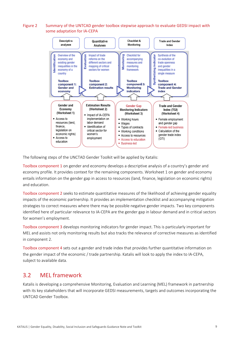#### <span id="page-13-1"></span>Figure 2 Summary of the UNTCAD gender toolbox stepwise approach to evaluate GEDSI impact with some adaptation for IA-CEPA



The following steps of the UNCTAD Gender Toolkit will be applied by Katalis:

Toolbox component 1 on gender and economy develops a descriptive analysis of a country's gender and economy profile. It provides context for the remaining components. Worksheet 1 on gender and economy entails information on the gender gap in access to resources (land, finance, legislation on economic rights) and education.

Toolbox component 2 seeks to estimate quantitative measures of the likelihood of achieving gender equality impacts of the economic partnership. It provides an implementation checklist and accompanying mitigation strategies to correct measures where there may be possible negative gender impacts. Two key components identified here of particular relevance to IA-CEPA are the gender gap in labour demand and in critical sectors for women's employment.

Toolbox component 3 develops monitoring indicators for gender impact. This is particularly important for MEL and assists not only monitoring results but also tracks the relevance of corrective measures as identified in component 2.

Toolbox component 4 sets out a gender and trade index that provides further quantitative information on the gender impact of the economic / trade partnership. Katalis will look to apply the index to IA-CEPA, subject to available data.

### <span id="page-13-0"></span>3.2 MEL framework

Katalis is developing a comprehensive Monitoring, Evaluation and Learning (MEL) framework in partnership with its key stakeholders that will incorporate GEDSI measurements, targets and outcomes incorporating the UNTCAD Gender Toolbox.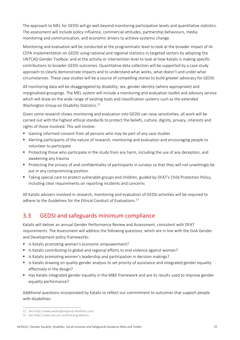The approach to MEL for GEDSI will go well beyond monitoring participation levels and quantitative statistics. The assessment will include policy influence, commercial attitudes, partnership behaviours, media monitoring and communication, and economic drivers to achieve systemic change.

Monitoring and evaluation will be conducted at the programmatic level to look at the broader impact of IA-CEPA implementation on GEDSI using national and regional statistics in targeted sectors by adopting the UNTCAD Gender Toolbox; and at the activity or intervention level to look at how Katalis is making specific contributions to broader GEDSI outcomes. Quantitative data collection will be supported by a case study approach to clearly demonstrate impacts and to understand what works, what doesn't and under what circumstances. These case studies will be a source of compelling stories to build greater advocacy for GEDSI.

All monitoring data will be disaggregated by disability, sex, gender identity (where appropriate) and marginalised groupings. The MEL system will include a monitoring and evaluation toolkit and advisory service which will draw on the wide range of existing tools and classification systems such as the extended Washington Group on Disability Statistics.<sup>[12](#page-14-1)</sup>

Given some research shows monitoring and evaluation into GEDSI can raise sensitivities, all work will be carried out with the highest ethical standards to protect the beliefs, culture, dignity, privacy, interests and rights of those involved. This will involve:

- Gaining informed consent from all persons who may be part of any case studies
- Alerting participants of the nature of research, monitoring and evaluation and encouraging people to volunteer to participate
- Protecting those who participate in the study from any harm, including the use of any deception, and awakening any trauma
- Protecting the privacy of and confidentiality of participants in surveys so that they will not unwittingly be put in any compromising position
- Taking special care to protect vulnerable groups and children, guided by DFAT's Child Protection Policy, including clear requirements on reporting incidents and concerns

All Katalis advisers involved in research, monitoring and evaluation of GEDSI activities will be required to adhere to the Guidelines for the Ethical Conduct of Evaluations.<sup>[13](#page-14-2)</sup>

### <span id="page-14-0"></span>3.3 GEDSI and safeguards minimum compliance

Katalis will deliver an annual Gender Performance Review and Assessment, consistent with DFAT requirements. The Assessment will address the following questions, which are in line with the GoA Gender and Development policy frameworks:

- Is Katalis promoting women's economic empowerment?
- If Is Katalis contributing to global and regional efforts to end violence against women?
- Is Katalis promoting women's leadership and participation in decision makings?
- Is Katalis drawing on quality gender analysis to set priority of assistance and integrated gender equality effectively in the design?
- Has Katalis integrated gender equality in the M&E framework and are its results used to improve gender equality performance?

Additional questions incorporated by Katalis to reflect our commitment to outcomes that support people with disabilities:

<span id="page-14-1"></span><sup>12</sup> Se[e https://www.washingtongroup-disability.com/](about:blank)

<span id="page-14-2"></span><sup>13</sup> Se[e https://www.aes.asn.au/ethical-guidelines](about:blank)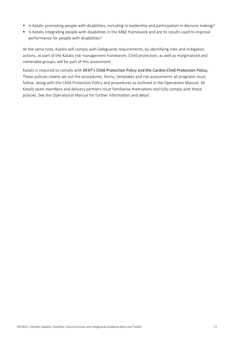- Is Katalis promoting people with disabilities, including in leadership and participation in decision making?
- Is Katalis integrating people with disabilities in the M&E framework and are its results used to improve performance for people with disabilities?

At the same time, Katalis will comply with Safeguards requirements, by identifying risks and mitigation actions, as part of the Katalis risk management framework. Child protection, as well as marginalised and vulnerable groups, will be part of this assessment.

Katalis is required to comply with DFAT's Child Protection Policy and the Cardno Child Protection Policy. These policies clearly set out the procedures, forms, templates and risk assessments all programs must follow, along with the Child Protection Policy and procedures as outlined in the Operations Manual. All Katalis team members and delivery partners must familiarise themselves and fully comply with these policies. See the Operational Manual for further information and detail.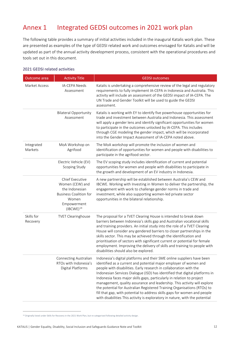### <span id="page-16-0"></span>Annex 1 Integrated GEDSI outcomes in 2021 work plan

The following table provides a summary of initial activities included in the inaugural Katalis work plan. These are presented as examples of the type of GEDSI related work and outcomes envisaged for Katalis and will be updated as part of the annual activity development process, consistent with the operational procedures and tools set out in this document.

#### 2021 GEDSI related activities

| Outcome area           | <b>Activity Title</b>                                                                                                                               | <b>GEDSI</b> outcomes                                                                                                                                                                                                                                                                                                                                                                                                                                                                                                                                                                                                                                                                           |
|------------------------|-----------------------------------------------------------------------------------------------------------------------------------------------------|-------------------------------------------------------------------------------------------------------------------------------------------------------------------------------------------------------------------------------------------------------------------------------------------------------------------------------------------------------------------------------------------------------------------------------------------------------------------------------------------------------------------------------------------------------------------------------------------------------------------------------------------------------------------------------------------------|
| <b>Market Access</b>   | <b>IA-CEPA Needs</b><br>Assessment                                                                                                                  | Katalis is undertaking a comprehensive review of the legal and regulatory<br>requirements to fully implement IA-CEPA in Indonesia and Australia. This<br>activity will include an assessment of the GEDSI impact of IA-CEPA. The<br>UN Trade and Gender Toolkit will be used to guide the GEDSI<br>assessment.                                                                                                                                                                                                                                                                                                                                                                                  |
|                        | <b>Bilateral Opportunity</b><br>Assessment                                                                                                          | Katalis is working with EY to identify five powerhouse opportunities for<br>trade and investment between Australia and Indonesia. This assessment<br>will apply a gender lens and identify significant opportunities for women<br>to participate in the outcomes unlocked by IA-CEPA. This includes<br>through CGE modeling the gender impact, which will be incorporated<br>into the Gender Impact Assessment of IA-CEPA noted above.                                                                                                                                                                                                                                                          |
| Integrated<br>Markets  | MoA Workshop on<br>Agrifood                                                                                                                         | The MoA workshop will promote the inclusion of women and<br>identification of opportunities for women and people with disabilities to<br>participate in the agrifood sector.                                                                                                                                                                                                                                                                                                                                                                                                                                                                                                                    |
|                        | Electric Vehicle (EV)<br>Scoping Study                                                                                                              | The EV scoping study includes identification of current and potential<br>opportunities for women and people with disabilities to participate in<br>the growth and development of an EV industry in Indonesia.                                                                                                                                                                                                                                                                                                                                                                                                                                                                                   |
|                        | <b>Chief Executive</b><br>Women (CEW) and<br>the Indonesian<br><b>Business Coalition for</b><br>Women<br>Empowerment<br>$($ IBCWE $)$ <sup>14</sup> | A new partnership will be established between Australia's CEW and<br>IBCWE. Working with Investing in Women to deliver the partnership, the<br>engagement with work to challenge gender norms in trade and<br>investment, while also supporting women-led private sector<br>opportunities in the bilateral relationship.                                                                                                                                                                                                                                                                                                                                                                        |
| Skills for<br>Recovery | <b>TVET Clearinghouse</b>                                                                                                                           | The proposal for a TVET Clearing House is intended to break down<br>barriers between Indonesia's skills gap and Australian vocational skills<br>and training providers. An initial study into the role of a TVET Clearing<br>House will consider any gendered barriers to closer partnerships in the<br>skills sector. This may be achieved through the identification and<br>prioritisation of sectors with significant current or potential for female<br>employment. Improving the delivery of skills and training to people with<br>disabilities should also be explored.                                                                                                                   |
|                        | Connecting Australian<br>RTOs with Indonesia's<br>Digital Platforms                                                                                 | Indonesia's digital platforms and their SME online suppliers have been<br>identified as a current and potential major employer of women and<br>people with disabilities. Early research in collaboration with the<br>Indonesian Services Dialogue (ISD) has identified that digital platforms in<br>Indonesia faces major skills gaps, particularly in relation to project<br>management, quality assurance and leadership. This activity will explore<br>the potential for Australian Registered Training Organisations (RTOs) to<br>fill that gap, with potential to address skills gaps for women and people<br>with disabilities This activity is exploratory in nature, with the potential |

<span id="page-16-1"></span><sup>14</sup> Originally listed under Skills for Recovery in the 2021 Work Plan, but re-categorised following detailed activity design.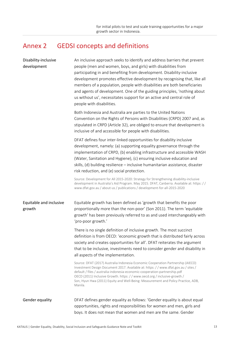### <span id="page-17-0"></span>Annex 2 GEDSI concepts and definitions

| Disability-inclusive<br>development | An inclusive approach seeks to identify and address barriers that prevent<br>people (men and women, boys, and girls) with disabilities from<br>participating in and benefiting from development. Disability-inclusive<br>development promotes effective development by recognising that, like all<br>members of a population, people with disabilities are both beneficiaries<br>and agents of development. One of the guiding principles, 'nothing about<br>us without us', necessitates support for an active and central role of<br>people with disabilities. |
|-------------------------------------|------------------------------------------------------------------------------------------------------------------------------------------------------------------------------------------------------------------------------------------------------------------------------------------------------------------------------------------------------------------------------------------------------------------------------------------------------------------------------------------------------------------------------------------------------------------|
|                                     | Both Indonesia and Australia are parties to the United Nations<br>Convention on the Rights of Persons with Disabilities (CRPD) 2007 and, as<br>stipulated in CRPD (Article 32), are obliged to ensure that development is<br>inclusive of and accessible for people with disabilities.                                                                                                                                                                                                                                                                           |
|                                     | DFAT defines four inter-linked opportunities for disability inclusive<br>development, namely: (a) supporting equality governance through the<br>implementation of CRPD, (b) enabling infrastructure and accessible WASH<br>(Water, Sanitation and Hygiene), (c) ensuring inclusive education and<br>skills, (d) building resilience - inclusive humanitarian assistance, disaster<br>risk reduction, and (e) social protection.                                                                                                                                  |
|                                     | Source: Development for All 2015-2020: Strategy for Strengthening disability-inclusive<br>development in Australia's Aid Program. May 2015. DFAT, Canberra. Available at: https: //<br>www.dfat.gov.au / about-us / publications / development-for-all-2015-2020                                                                                                                                                                                                                                                                                                 |
| Equitable and inclusive<br>growth   | Equitable growth has been defined as 'growth that benefits the poor<br>proportionally more than the non-poor' (Son 2011). The term 'equitable<br>growth' has been previously referred to as and used interchangeably with<br>'pro-poor growth.'                                                                                                                                                                                                                                                                                                                  |
|                                     | There is no single definition of inclusive growth. The most succinct<br>definition is from OECD: 'economic growth that is distributed fairly across<br>society and creates opportunities for all'. DFAT reiterates the argument<br>that to be inclusive, investments need to consider gender and disability in<br>all aspects of the implementation.                                                                                                                                                                                                             |
|                                     | Source: DFAT (2017) Australia Indonesia Economic Cooperation Partnership (AIECO)<br>Investment Design Document 2017. Available at: https://www.dfat.gov.au/sites/<br>default / files / australia-indonesia-economic-cooperation-partnership.pdf<br>OECD (2011) Inclusive Growth. https: / / www.oecd.org / inclusive-growth /<br>Son, Hyun Hwa (2011) Equity and Well-Being: Measurement and Policy Practice, ADB,<br>Manila.                                                                                                                                    |
| Gender equality                     | DFAT defines gender equality as follows: 'Gender equality is about equal<br>opportunities, rights and responsibilities for women and men, girls and<br>boys. It does not mean that women and men are the same. Gender                                                                                                                                                                                                                                                                                                                                            |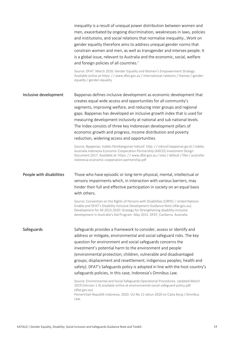|                          | inequality is a result of unequal power distribution between women and<br>men, exacerbated by ongoing discrimination, weaknesses in laws, policies<br>and institutions, and social relations that normalise inequality Work on<br>gender equality therefore aims to address unequal gender norms that<br>constrain women and men, as well as transgender and intersex people. It<br>is a global issue, relevant to Australia and the economic, social, welfare<br>and foreign policies of all countries.'<br>Source: DFAT. March 2016. Gender Equality and Women's Empowerment Strategy.                                                                                                                                                                                                                                                                                                |
|--------------------------|-----------------------------------------------------------------------------------------------------------------------------------------------------------------------------------------------------------------------------------------------------------------------------------------------------------------------------------------------------------------------------------------------------------------------------------------------------------------------------------------------------------------------------------------------------------------------------------------------------------------------------------------------------------------------------------------------------------------------------------------------------------------------------------------------------------------------------------------------------------------------------------------|
|                          | Available online at https://www.dfat.gov.au/international-relations/themes/gender-<br>equality / gender-equality                                                                                                                                                                                                                                                                                                                                                                                                                                                                                                                                                                                                                                                                                                                                                                        |
| Inclusive development    | Bappenas defines inclusive development as economic development that<br>creates equal wide access and opportunities for all community's<br>segments, improving welfare, and reducing inter groups and regional<br>gaps. Bappenas has developed an inclusive growth index that is used for<br>measuring development inclusivity at national and sub national levels.<br>The Index consists of three key Indonesian development pillars of<br>economic growth and progress, income distribution and poverty<br>reduction, widening access and opportunities.<br>Source: Bappenas, Indeks Pembangunan Inklusif. http: //inklusif.bappenas.go.id/indeks.<br>Australia Indonesia Economic Cooperation Partnership (AIECO) Investment Design<br>Document 2017. Available at: https: //www.dfat.gov.au / sites / default / files / australia-<br>indonesia-economic-cooperation-partnership.pdf |
| People with disabilities | Those who have episodic or long-term physical, mental, intellectual or<br>sensory impairments which, in interaction with various barriers, may<br>hinder their full and effective participation in society on an equal basis<br>with others.<br>Source: Convention on the Rights of Persons with Disabilities (CRPD)   United Nations<br>Enable and DFAT's Disability Inclusive Development Guidance Note (dfat.gov.au).<br>Development for All 2015-2020: Strategy for Strengthening disability-inclusive<br>development in Australia's Aid Program. May 2015. DFAT, Canberra. Australia.                                                                                                                                                                                                                                                                                              |
| Safeguards               | Safeguards provides a framework to consider, assess or identify and<br>address or mitigate, environmental and social safeguard risks. The key<br>question for environment and social safeguards concerns the<br>investment's potential harm to the environment and people<br>(environmental protection; children, vulnerable and disadvantaged<br>groups; displacement and resettlement; indigenous peoples; health and<br>safety). DFAT's Safeguards policy is adopted in line with the host country's<br>safeguards policies, in this case, Indonesia's Omnibus Law.<br>Source: Environmental and Social Safeguards Operational Procedures. Updated March<br>2019 (Version 1.4) available online at environmental-social-safeguard-policy.pdf<br>(dfat.gov.au)<br>Pemerintah Republik Indonesia. 2020. UU No 11 tahun 2020 on Cipta Kerja / Omnibus<br>Law.                           |